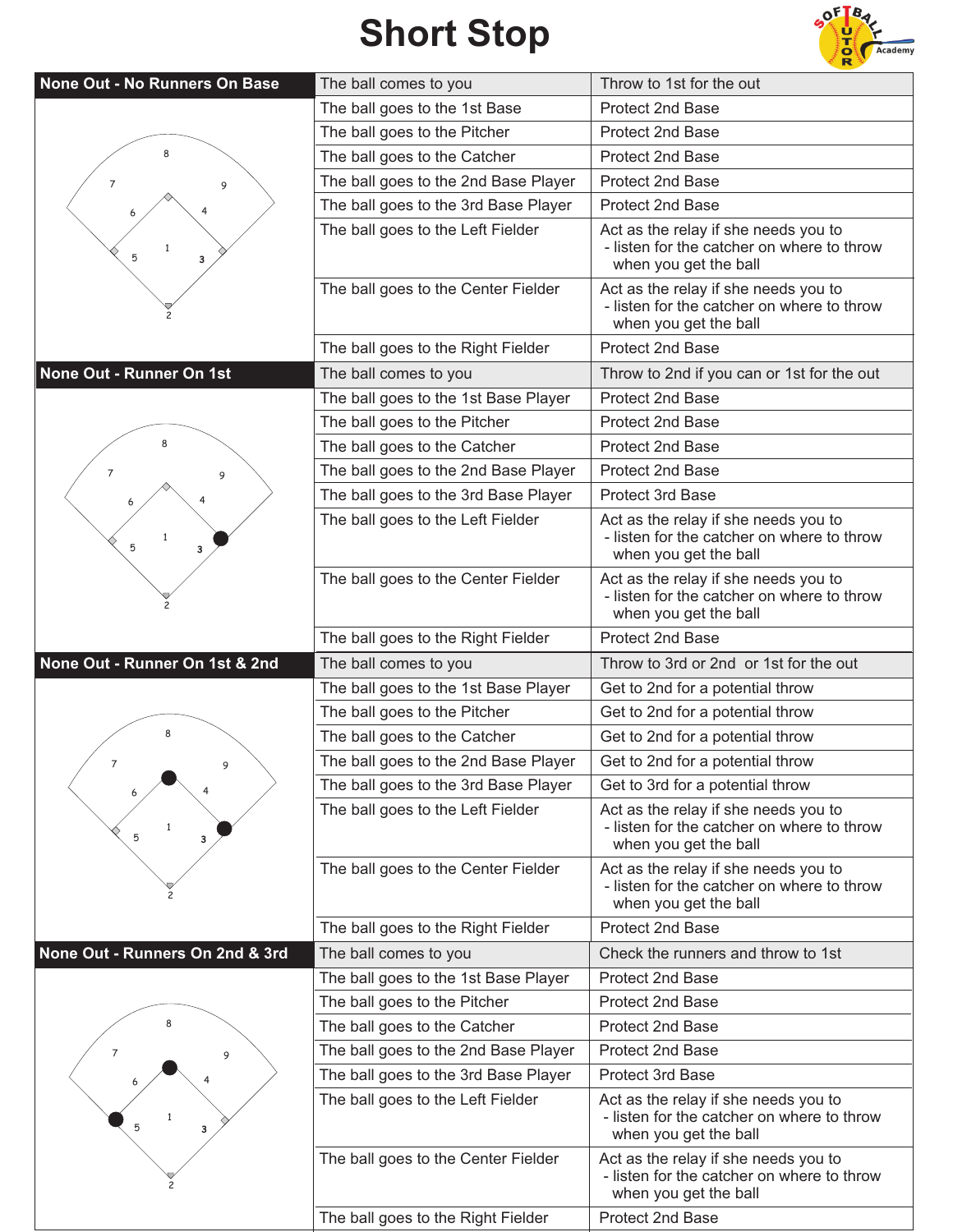## **Short Stop**



| None Out - No Runners On Base   | The ball comes to you                | Throw to 1st for the out                                                                                    |
|---------------------------------|--------------------------------------|-------------------------------------------------------------------------------------------------------------|
|                                 | The ball goes to the 1st Base        | Protect 2nd Base                                                                                            |
|                                 | The ball goes to the Pitcher         | Protect 2nd Base                                                                                            |
|                                 | The ball goes to the Catcher         | <b>Protect 2nd Base</b>                                                                                     |
| 7<br>9                          | The ball goes to the 2nd Base Player | <b>Protect 2nd Base</b>                                                                                     |
|                                 | The ball goes to the 3rd Base Player | Protect 2nd Base                                                                                            |
| 5<br>3                          | The ball goes to the Left Fielder    | Act as the relay if she needs you to<br>- listen for the catcher on where to throw<br>when you get the ball |
|                                 | The ball goes to the Center Fielder  | Act as the relay if she needs you to<br>- listen for the catcher on where to throw<br>when you get the ball |
|                                 | The ball goes to the Right Fielder   | Protect 2nd Base                                                                                            |
| None Out - Runner On 1st        | The ball comes to you                | Throw to 2nd if you can or 1st for the out                                                                  |
|                                 | The ball goes to the 1st Base Player | Protect 2nd Base                                                                                            |
|                                 | The ball goes to the Pitcher         | Protect 2nd Base                                                                                            |
|                                 | The ball goes to the Catcher         | Protect 2nd Base                                                                                            |
| 7<br>9                          | The ball goes to the 2nd Base Player | <b>Protect 2nd Base</b>                                                                                     |
|                                 | The ball goes to the 3rd Base Player | Protect 3rd Base                                                                                            |
| 1<br>5<br>3                     | The ball goes to the Left Fielder    | Act as the relay if she needs you to<br>- listen for the catcher on where to throw<br>when you get the ball |
|                                 | The ball goes to the Center Fielder  | Act as the relay if she needs you to<br>- listen for the catcher on where to throw<br>when you get the ball |
|                                 | The ball goes to the Right Fielder   | Protect 2nd Base                                                                                            |
| None Out - Runner On 1st & 2nd  | The ball comes to you                | Throw to 3rd or 2nd or 1st for the out                                                                      |
|                                 |                                      |                                                                                                             |
|                                 | The ball goes to the 1st Base Player | Get to 2nd for a potential throw                                                                            |
|                                 | The ball goes to the Pitcher         | Get to 2nd for a potential throw                                                                            |
|                                 | The ball goes to the Catcher         | Get to 2nd for a potential throw                                                                            |
|                                 | The ball goes to the 2nd Base Player | Get to 2nd for a potential throw                                                                            |
|                                 | The ball goes to the 3rd Base Player | Get to 3rd for a potential throw                                                                            |
| 5<br>3                          | The ball goes to the Left Fielder    | Act as the relay if she needs you to<br>- listen for the catcher on where to throw<br>when you get the ball |
|                                 | The ball goes to the Center Fielder  | Act as the relay if she needs you to<br>- listen for the catcher on where to throw<br>when you get the ball |
|                                 | The ball goes to the Right Fielder   | Protect 2nd Base                                                                                            |
| None Out - Runners On 2nd & 3rd | The ball comes to you                | Check the runners and throw to 1st                                                                          |
|                                 | The ball goes to the 1st Base Player | Protect 2nd Base                                                                                            |
|                                 | The ball goes to the Pitcher         | Protect 2nd Base                                                                                            |
|                                 | The ball goes to the Catcher         | Protect 2nd Base                                                                                            |
| 7<br>9                          | The ball goes to the 2nd Base Player | Protect 2nd Base                                                                                            |
|                                 | The ball goes to the 3rd Base Player | Protect 3rd Base                                                                                            |
| 5                               | The ball goes to the Left Fielder    | Act as the relay if she needs you to<br>- listen for the catcher on where to throw<br>when you get the ball |
|                                 | The ball goes to the Center Fielder  | Act as the relay if she needs you to<br>- listen for the catcher on where to throw<br>when you get the ball |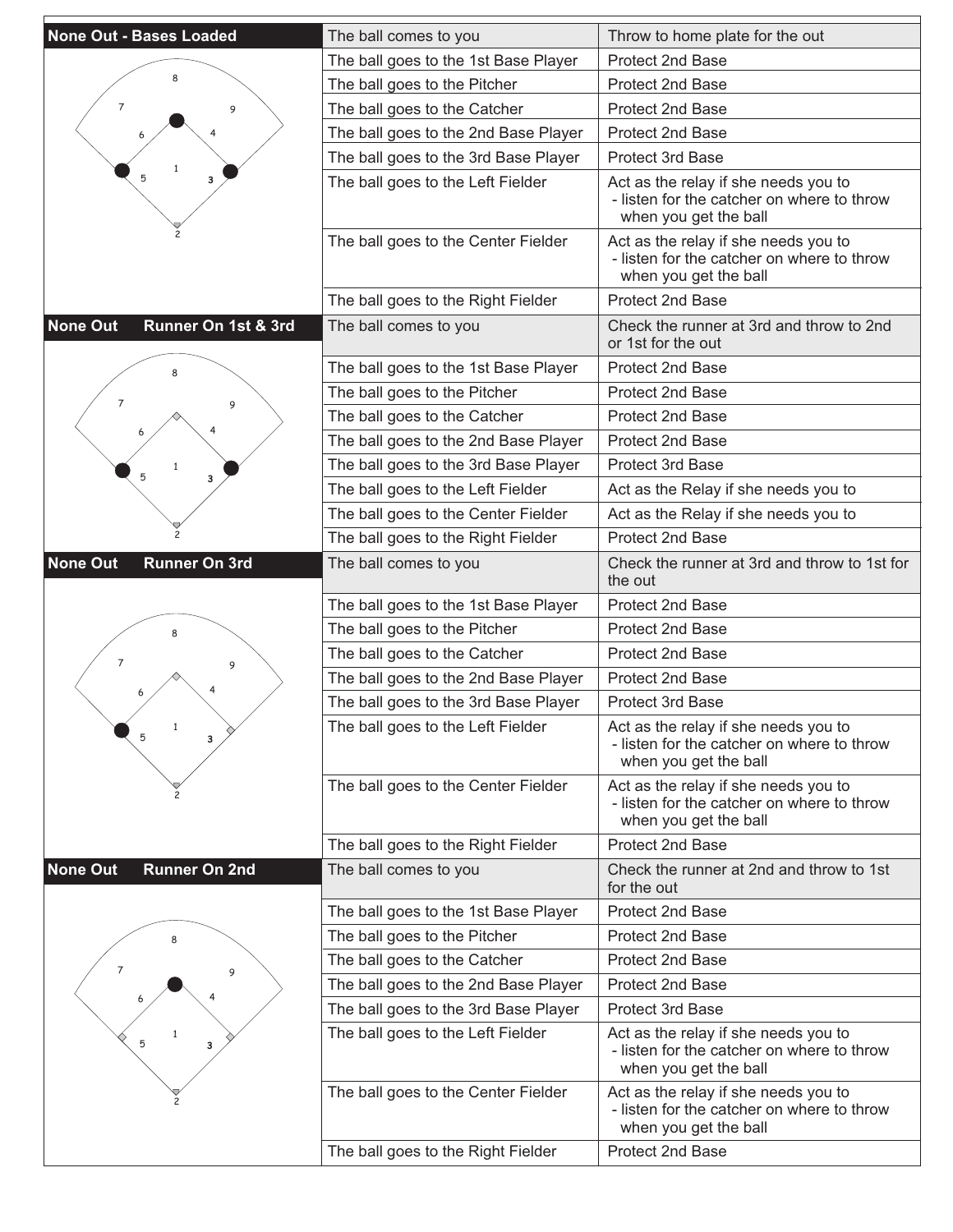| <b>None Out - Bases Loaded</b>          | The ball comes to you                | Throw to home plate for the out                                                                             |
|-----------------------------------------|--------------------------------------|-------------------------------------------------------------------------------------------------------------|
|                                         | The ball goes to the 1st Base Player | Protect 2nd Base                                                                                            |
|                                         | The ball goes to the Pitcher         | Protect 2nd Base                                                                                            |
| $\overline{7}$<br>9                     | The ball goes to the Catcher         | Protect 2nd Base                                                                                            |
|                                         | The ball goes to the 2nd Base Player | <b>Protect 2nd Base</b>                                                                                     |
|                                         | The ball goes to the 3rd Base Player | <b>Protect 3rd Base</b>                                                                                     |
| 5<br>3                                  | The ball goes to the Left Fielder    | Act as the relay if she needs you to<br>- listen for the catcher on where to throw<br>when you get the ball |
|                                         | The ball goes to the Center Fielder  | Act as the relay if she needs you to<br>- listen for the catcher on where to throw<br>when you get the ball |
|                                         | The ball goes to the Right Fielder   | Protect 2nd Base                                                                                            |
| Runner On 1st & 3rd<br><b>None Out</b>  | The ball comes to you                | Check the runner at 3rd and throw to 2nd<br>or 1st for the out                                              |
|                                         | The ball goes to the 1st Base Player | <b>Protect 2nd Base</b>                                                                                     |
| $\overline{7}$                          | The ball goes to the Pitcher         | <b>Protect 2nd Base</b>                                                                                     |
| 9                                       | The ball goes to the Catcher         | Protect 2nd Base                                                                                            |
|                                         | The ball goes to the 2nd Base Player | Protect 2nd Base                                                                                            |
|                                         | The ball goes to the 3rd Base Player | <b>Protect 3rd Base</b>                                                                                     |
| 5<br>3                                  | The ball goes to the Left Fielder    | Act as the Relay if she needs you to                                                                        |
|                                         | The ball goes to the Center Fielder  | Act as the Relay if she needs you to                                                                        |
|                                         | The ball goes to the Right Fielder   | Protect 2nd Base                                                                                            |
| <b>None Out</b><br><b>Runner On 3rd</b> | The ball comes to you                | Check the runner at 3rd and throw to 1st for<br>the out                                                     |
|                                         | The ball goes to the 1st Base Player | <b>Protect 2nd Base</b>                                                                                     |
|                                         | The ball goes to the Pitcher         | Protect 2nd Base                                                                                            |
| 7<br>9                                  | The ball goes to the Catcher         | <b>Protect 2nd Base</b>                                                                                     |
|                                         | The ball goes to the 2nd Base Player | Protect 2nd Base                                                                                            |
|                                         | The ball goes to the 3rd Base Player | Protect 3rd Base                                                                                            |
| $\mathbf{1}$<br>5<br>3                  | The ball goes to the Left Fielder    | Act as the relay if she needs you to<br>- listen for the catcher on where to throw<br>when you get the ball |
|                                         | The ball goes to the Center Fielder  | Act as the relay if she needs you to<br>- listen for the catcher on where to throw<br>when you get the ball |
|                                         | The ball goes to the Right Fielder   | Protect 2nd Base                                                                                            |
| <b>None Out</b><br><b>Runner On 2nd</b> | The ball comes to you                | Check the runner at 2nd and throw to 1st<br>for the out                                                     |
|                                         | The ball goes to the 1st Base Player | Protect 2nd Base                                                                                            |
|                                         | The ball goes to the Pitcher         | <b>Protect 2nd Base</b>                                                                                     |
| 7<br>9                                  | The ball goes to the Catcher         | <b>Protect 2nd Base</b>                                                                                     |
|                                         | The ball goes to the 2nd Base Player | Protect 2nd Base                                                                                            |
|                                         | The ball goes to the 3rd Base Player | <b>Protect 3rd Base</b>                                                                                     |
| 5<br>з                                  | The ball goes to the Left Fielder    | Act as the relay if she needs you to<br>- listen for the catcher on where to throw<br>when you get the ball |
|                                         | The ball goes to the Center Fielder  | Act as the relay if she needs you to<br>- listen for the catcher on where to throw<br>when you get the ball |
|                                         | The ball goes to the Right Fielder   | Protect 2nd Base                                                                                            |
|                                         |                                      |                                                                                                             |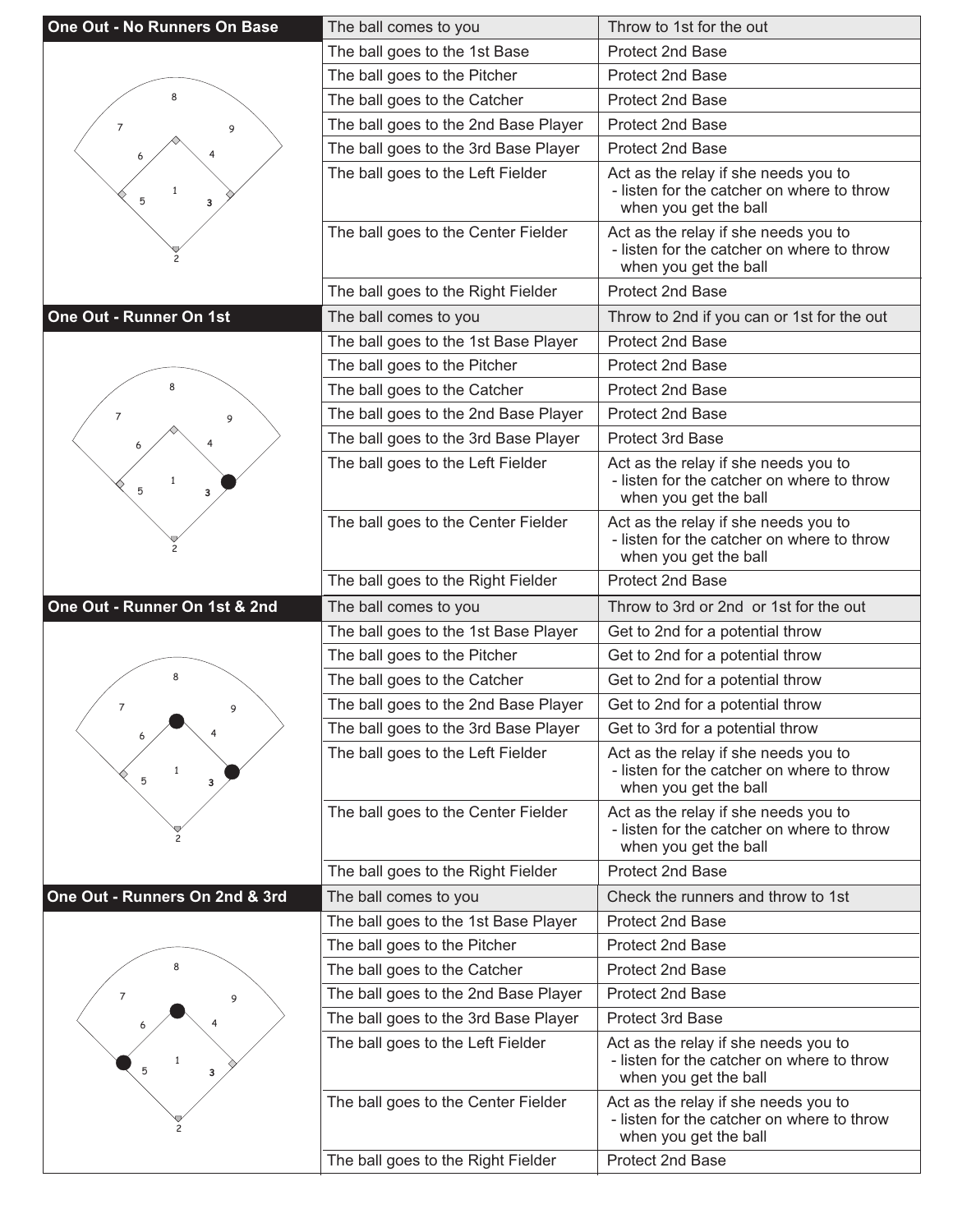| One Out - No Runners On Base   | The ball comes to you                                                     | Throw to 1st for the out                                                                                                        |
|--------------------------------|---------------------------------------------------------------------------|---------------------------------------------------------------------------------------------------------------------------------|
|                                | The ball goes to the 1st Base                                             | Protect 2nd Base                                                                                                                |
|                                | The ball goes to the Pitcher                                              | <b>Protect 2nd Base</b>                                                                                                         |
| 8                              | The ball goes to the Catcher                                              | Protect 2nd Base                                                                                                                |
| 7<br>9                         | The ball goes to the 2nd Base Player                                      | <b>Protect 2nd Base</b>                                                                                                         |
|                                | The ball goes to the 3rd Base Player                                      | <b>Protect 2nd Base</b>                                                                                                         |
| $\mathbf{1}$<br>5<br>з         | The ball goes to the Left Fielder                                         | Act as the relay if she needs you to<br>- listen for the catcher on where to throw<br>when you get the ball                     |
|                                | The ball goes to the Center Fielder                                       | Act as the relay if she needs you to<br>- listen for the catcher on where to throw<br>when you get the ball                     |
|                                | The ball goes to the Right Fielder                                        | Protect 2nd Base                                                                                                                |
| One Out - Runner On 1st        | The ball comes to you                                                     | Throw to 2nd if you can or 1st for the out                                                                                      |
|                                | The ball goes to the 1st Base Player                                      | Protect 2nd Base                                                                                                                |
|                                | The ball goes to the Pitcher                                              | <b>Protect 2nd Base</b>                                                                                                         |
|                                | The ball goes to the Catcher                                              | Protect 2nd Base                                                                                                                |
| 7<br>9                         | The ball goes to the 2nd Base Player                                      | <b>Protect 2nd Base</b>                                                                                                         |
|                                | The ball goes to the 3rd Base Player                                      | Protect 3rd Base                                                                                                                |
| $\mathbf{1}$<br>5<br>3         | The ball goes to the Left Fielder                                         | Act as the relay if she needs you to<br>- listen for the catcher on where to throw<br>when you get the ball                     |
|                                | The ball goes to the Center Fielder                                       | Act as the relay if she needs you to<br>- listen for the catcher on where to throw<br>when you get the ball                     |
|                                | The ball goes to the Right Fielder                                        | Protect 2nd Base                                                                                                                |
|                                |                                                                           |                                                                                                                                 |
| One Out - Runner On 1st & 2nd  | The ball comes to you                                                     | Throw to 3rd or 2nd or 1st for the out                                                                                          |
|                                | The ball goes to the 1st Base Player                                      | Get to 2nd for a potential throw                                                                                                |
|                                | The ball goes to the Pitcher                                              | Get to 2nd for a potential throw                                                                                                |
| 8                              | The ball goes to the Catcher                                              | Get to 2nd for a potential throw                                                                                                |
| $\overline{7}$<br>9            | The ball goes to the 2nd Base Player                                      | Get to 2nd for a potential throw                                                                                                |
|                                | The ball goes to the 3rd Base Player                                      | Get to 3rd for a potential throw                                                                                                |
| $\mathbf{1}$<br>5<br>3         | The ball goes to the Left Fielder                                         | Act as the relay if she needs you to<br>- listen for the catcher on where to throw<br>when you get the ball                     |
|                                | The ball goes to the Center Fielder                                       | Act as the relay if she needs you to<br>- listen for the catcher on where to throw<br>when you get the ball                     |
|                                | The ball goes to the Right Fielder                                        | Protect 2nd Base                                                                                                                |
| One Out - Runners On 2nd & 3rd | The ball comes to you                                                     | Check the runners and throw to 1st                                                                                              |
|                                | The ball goes to the 1st Base Player                                      | Protect 2nd Base                                                                                                                |
|                                | The ball goes to the Pitcher                                              | Protect 2nd Base                                                                                                                |
| 8                              | The ball goes to the Catcher                                              | Protect 2nd Base                                                                                                                |
| 7<br>9                         | The ball goes to the 2nd Base Player                                      | Protect 2nd Base                                                                                                                |
|                                | The ball goes to the 3rd Base Player                                      | <b>Protect 3rd Base</b>                                                                                                         |
| 5<br>3                         | The ball goes to the Left Fielder                                         | Act as the relay if she needs you to<br>- listen for the catcher on where to throw<br>when you get the ball                     |
|                                | The ball goes to the Center Fielder<br>The ball goes to the Right Fielder | Act as the relay if she needs you to<br>- listen for the catcher on where to throw<br>when you get the ball<br>Protect 2nd Base |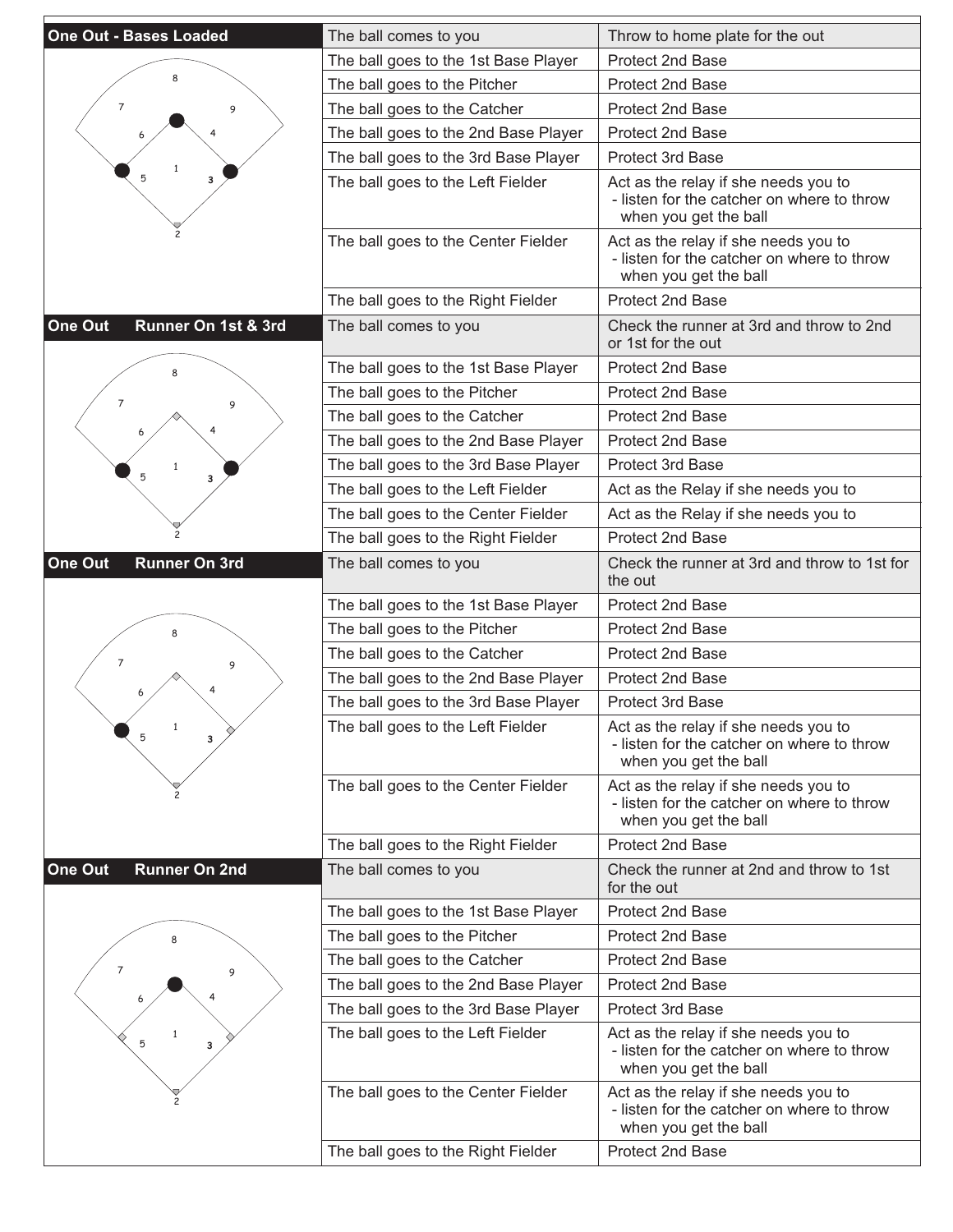| The ball goes to the 1st Base Player<br>Protect 2nd Base<br>The ball goes to the Pitcher<br>Protect 2nd Base<br>$\overline{7}$<br>Protect 2nd Base<br>The ball goes to the Catcher<br>9<br>The ball goes to the 2nd Base Player<br><b>Protect 2nd Base</b><br>The ball goes to the 3rd Base Player<br><b>Protect 3rd Base</b><br>5<br>The ball goes to the Left Fielder<br>Act as the relay if she needs you to<br>3<br>- listen for the catcher on where to throw<br>when you get the ball<br>The ball goes to the Center Fielder<br>Act as the relay if she needs you to<br>- listen for the catcher on where to throw<br>when you get the ball<br>Protect 2nd Base<br>The ball goes to the Right Fielder<br>Runner On 1st & 3rd<br>One Out<br>Check the runner at 3rd and throw to 2nd<br>The ball comes to you<br>or 1st for the out<br>The ball goes to the 1st Base Player<br><b>Protect 2nd Base</b><br>The ball goes to the Pitcher<br><b>Protect 2nd Base</b><br>$\overline{7}$<br>9<br>The ball goes to the Catcher<br>Protect 2nd Base<br>The ball goes to the 2nd Base Player<br>Protect 2nd Base<br>The ball goes to the 3rd Base Player<br><b>Protect 3rd Base</b><br>5<br>3<br>The ball goes to the Left Fielder<br>Act as the Relay if she needs you to<br>The ball goes to the Center Fielder<br>Act as the Relay if she needs you to<br>Protect 2nd Base<br>The ball goes to the Right Fielder<br>One Out<br><b>Runner On 3rd</b><br>Check the runner at 3rd and throw to 1st for<br>The ball comes to you<br>the out<br>The ball goes to the 1st Base Player<br><b>Protect 2nd Base</b><br>Protect 2nd Base<br>The ball goes to the Pitcher<br>The ball goes to the Catcher<br><b>Protect 2nd Base</b><br>7<br>9<br>The ball goes to the 2nd Base Player<br>Protect 2nd Base<br>The ball goes to the 3rd Base Player<br>Protect 3rd Base<br>The ball goes to the Left Fielder<br>Act as the relay if she needs you to<br>$\mathbf{1}$<br>5<br>3<br>- listen for the catcher on where to throw<br>when you get the ball<br>The ball goes to the Center Fielder<br>Act as the relay if she needs you to<br>- listen for the catcher on where to throw<br>when you get the ball<br>Protect 2nd Base<br>The ball goes to the Right Fielder<br>One Out<br><b>Runner On 2nd</b><br>The ball comes to you<br>Check the runner at 2nd and throw to 1st<br>for the out<br>Protect 2nd Base<br>The ball goes to the 1st Base Player<br>The ball goes to the Pitcher<br><b>Protect 2nd Base</b><br>The ball goes to the Catcher<br><b>Protect 2nd Base</b><br>7<br>9<br>The ball goes to the 2nd Base Player<br>Protect 2nd Base<br>The ball goes to the 3rd Base Player<br><b>Protect 3rd Base</b><br>The ball goes to the Left Fielder<br>Act as the relay if she needs you to<br>5<br>з<br>- listen for the catcher on where to throw<br>when you get the ball<br>The ball goes to the Center Fielder<br>Act as the relay if she needs you to<br>- listen for the catcher on where to throw<br>when you get the ball<br>Protect 2nd Base<br>The ball goes to the Right Fielder | <b>One Out - Bases Loaded</b> | The ball comes to you | Throw to home plate for the out |
|-------------------------------------------------------------------------------------------------------------------------------------------------------------------------------------------------------------------------------------------------------------------------------------------------------------------------------------------------------------------------------------------------------------------------------------------------------------------------------------------------------------------------------------------------------------------------------------------------------------------------------------------------------------------------------------------------------------------------------------------------------------------------------------------------------------------------------------------------------------------------------------------------------------------------------------------------------------------------------------------------------------------------------------------------------------------------------------------------------------------------------------------------------------------------------------------------------------------------------------------------------------------------------------------------------------------------------------------------------------------------------------------------------------------------------------------------------------------------------------------------------------------------------------------------------------------------------------------------------------------------------------------------------------------------------------------------------------------------------------------------------------------------------------------------------------------------------------------------------------------------------------------------------------------------------------------------------------------------------------------------------------------------------------------------------------------------------------------------------------------------------------------------------------------------------------------------------------------------------------------------------------------------------------------------------------------------------------------------------------------------------------------------------------------------------------------------------------------------------------------------------------------------------------------------------------------------------------------------------------------------------------------------------------------------------------------------------------------------------------------------------------------------------------------------------------------------------------------------------------------------------------------------------------------------------------------------------------------------------------------------------------------------------------------------------------------------------------------|-------------------------------|-----------------------|---------------------------------|
|                                                                                                                                                                                                                                                                                                                                                                                                                                                                                                                                                                                                                                                                                                                                                                                                                                                                                                                                                                                                                                                                                                                                                                                                                                                                                                                                                                                                                                                                                                                                                                                                                                                                                                                                                                                                                                                                                                                                                                                                                                                                                                                                                                                                                                                                                                                                                                                                                                                                                                                                                                                                                                                                                                                                                                                                                                                                                                                                                                                                                                                                                           |                               |                       |                                 |
|                                                                                                                                                                                                                                                                                                                                                                                                                                                                                                                                                                                                                                                                                                                                                                                                                                                                                                                                                                                                                                                                                                                                                                                                                                                                                                                                                                                                                                                                                                                                                                                                                                                                                                                                                                                                                                                                                                                                                                                                                                                                                                                                                                                                                                                                                                                                                                                                                                                                                                                                                                                                                                                                                                                                                                                                                                                                                                                                                                                                                                                                                           |                               |                       |                                 |
|                                                                                                                                                                                                                                                                                                                                                                                                                                                                                                                                                                                                                                                                                                                                                                                                                                                                                                                                                                                                                                                                                                                                                                                                                                                                                                                                                                                                                                                                                                                                                                                                                                                                                                                                                                                                                                                                                                                                                                                                                                                                                                                                                                                                                                                                                                                                                                                                                                                                                                                                                                                                                                                                                                                                                                                                                                                                                                                                                                                                                                                                                           |                               |                       |                                 |
|                                                                                                                                                                                                                                                                                                                                                                                                                                                                                                                                                                                                                                                                                                                                                                                                                                                                                                                                                                                                                                                                                                                                                                                                                                                                                                                                                                                                                                                                                                                                                                                                                                                                                                                                                                                                                                                                                                                                                                                                                                                                                                                                                                                                                                                                                                                                                                                                                                                                                                                                                                                                                                                                                                                                                                                                                                                                                                                                                                                                                                                                                           |                               |                       |                                 |
|                                                                                                                                                                                                                                                                                                                                                                                                                                                                                                                                                                                                                                                                                                                                                                                                                                                                                                                                                                                                                                                                                                                                                                                                                                                                                                                                                                                                                                                                                                                                                                                                                                                                                                                                                                                                                                                                                                                                                                                                                                                                                                                                                                                                                                                                                                                                                                                                                                                                                                                                                                                                                                                                                                                                                                                                                                                                                                                                                                                                                                                                                           |                               |                       |                                 |
|                                                                                                                                                                                                                                                                                                                                                                                                                                                                                                                                                                                                                                                                                                                                                                                                                                                                                                                                                                                                                                                                                                                                                                                                                                                                                                                                                                                                                                                                                                                                                                                                                                                                                                                                                                                                                                                                                                                                                                                                                                                                                                                                                                                                                                                                                                                                                                                                                                                                                                                                                                                                                                                                                                                                                                                                                                                                                                                                                                                                                                                                                           |                               |                       |                                 |
|                                                                                                                                                                                                                                                                                                                                                                                                                                                                                                                                                                                                                                                                                                                                                                                                                                                                                                                                                                                                                                                                                                                                                                                                                                                                                                                                                                                                                                                                                                                                                                                                                                                                                                                                                                                                                                                                                                                                                                                                                                                                                                                                                                                                                                                                                                                                                                                                                                                                                                                                                                                                                                                                                                                                                                                                                                                                                                                                                                                                                                                                                           |                               |                       |                                 |
|                                                                                                                                                                                                                                                                                                                                                                                                                                                                                                                                                                                                                                                                                                                                                                                                                                                                                                                                                                                                                                                                                                                                                                                                                                                                                                                                                                                                                                                                                                                                                                                                                                                                                                                                                                                                                                                                                                                                                                                                                                                                                                                                                                                                                                                                                                                                                                                                                                                                                                                                                                                                                                                                                                                                                                                                                                                                                                                                                                                                                                                                                           |                               |                       |                                 |
|                                                                                                                                                                                                                                                                                                                                                                                                                                                                                                                                                                                                                                                                                                                                                                                                                                                                                                                                                                                                                                                                                                                                                                                                                                                                                                                                                                                                                                                                                                                                                                                                                                                                                                                                                                                                                                                                                                                                                                                                                                                                                                                                                                                                                                                                                                                                                                                                                                                                                                                                                                                                                                                                                                                                                                                                                                                                                                                                                                                                                                                                                           |                               |                       |                                 |
|                                                                                                                                                                                                                                                                                                                                                                                                                                                                                                                                                                                                                                                                                                                                                                                                                                                                                                                                                                                                                                                                                                                                                                                                                                                                                                                                                                                                                                                                                                                                                                                                                                                                                                                                                                                                                                                                                                                                                                                                                                                                                                                                                                                                                                                                                                                                                                                                                                                                                                                                                                                                                                                                                                                                                                                                                                                                                                                                                                                                                                                                                           |                               |                       |                                 |
|                                                                                                                                                                                                                                                                                                                                                                                                                                                                                                                                                                                                                                                                                                                                                                                                                                                                                                                                                                                                                                                                                                                                                                                                                                                                                                                                                                                                                                                                                                                                                                                                                                                                                                                                                                                                                                                                                                                                                                                                                                                                                                                                                                                                                                                                                                                                                                                                                                                                                                                                                                                                                                                                                                                                                                                                                                                                                                                                                                                                                                                                                           |                               |                       |                                 |
|                                                                                                                                                                                                                                                                                                                                                                                                                                                                                                                                                                                                                                                                                                                                                                                                                                                                                                                                                                                                                                                                                                                                                                                                                                                                                                                                                                                                                                                                                                                                                                                                                                                                                                                                                                                                                                                                                                                                                                                                                                                                                                                                                                                                                                                                                                                                                                                                                                                                                                                                                                                                                                                                                                                                                                                                                                                                                                                                                                                                                                                                                           |                               |                       |                                 |
|                                                                                                                                                                                                                                                                                                                                                                                                                                                                                                                                                                                                                                                                                                                                                                                                                                                                                                                                                                                                                                                                                                                                                                                                                                                                                                                                                                                                                                                                                                                                                                                                                                                                                                                                                                                                                                                                                                                                                                                                                                                                                                                                                                                                                                                                                                                                                                                                                                                                                                                                                                                                                                                                                                                                                                                                                                                                                                                                                                                                                                                                                           |                               |                       |                                 |
|                                                                                                                                                                                                                                                                                                                                                                                                                                                                                                                                                                                                                                                                                                                                                                                                                                                                                                                                                                                                                                                                                                                                                                                                                                                                                                                                                                                                                                                                                                                                                                                                                                                                                                                                                                                                                                                                                                                                                                                                                                                                                                                                                                                                                                                                                                                                                                                                                                                                                                                                                                                                                                                                                                                                                                                                                                                                                                                                                                                                                                                                                           |                               |                       |                                 |
|                                                                                                                                                                                                                                                                                                                                                                                                                                                                                                                                                                                                                                                                                                                                                                                                                                                                                                                                                                                                                                                                                                                                                                                                                                                                                                                                                                                                                                                                                                                                                                                                                                                                                                                                                                                                                                                                                                                                                                                                                                                                                                                                                                                                                                                                                                                                                                                                                                                                                                                                                                                                                                                                                                                                                                                                                                                                                                                                                                                                                                                                                           |                               |                       |                                 |
|                                                                                                                                                                                                                                                                                                                                                                                                                                                                                                                                                                                                                                                                                                                                                                                                                                                                                                                                                                                                                                                                                                                                                                                                                                                                                                                                                                                                                                                                                                                                                                                                                                                                                                                                                                                                                                                                                                                                                                                                                                                                                                                                                                                                                                                                                                                                                                                                                                                                                                                                                                                                                                                                                                                                                                                                                                                                                                                                                                                                                                                                                           |                               |                       |                                 |
|                                                                                                                                                                                                                                                                                                                                                                                                                                                                                                                                                                                                                                                                                                                                                                                                                                                                                                                                                                                                                                                                                                                                                                                                                                                                                                                                                                                                                                                                                                                                                                                                                                                                                                                                                                                                                                                                                                                                                                                                                                                                                                                                                                                                                                                                                                                                                                                                                                                                                                                                                                                                                                                                                                                                                                                                                                                                                                                                                                                                                                                                                           |                               |                       |                                 |
|                                                                                                                                                                                                                                                                                                                                                                                                                                                                                                                                                                                                                                                                                                                                                                                                                                                                                                                                                                                                                                                                                                                                                                                                                                                                                                                                                                                                                                                                                                                                                                                                                                                                                                                                                                                                                                                                                                                                                                                                                                                                                                                                                                                                                                                                                                                                                                                                                                                                                                                                                                                                                                                                                                                                                                                                                                                                                                                                                                                                                                                                                           |                               |                       |                                 |
|                                                                                                                                                                                                                                                                                                                                                                                                                                                                                                                                                                                                                                                                                                                                                                                                                                                                                                                                                                                                                                                                                                                                                                                                                                                                                                                                                                                                                                                                                                                                                                                                                                                                                                                                                                                                                                                                                                                                                                                                                                                                                                                                                                                                                                                                                                                                                                                                                                                                                                                                                                                                                                                                                                                                                                                                                                                                                                                                                                                                                                                                                           |                               |                       |                                 |
|                                                                                                                                                                                                                                                                                                                                                                                                                                                                                                                                                                                                                                                                                                                                                                                                                                                                                                                                                                                                                                                                                                                                                                                                                                                                                                                                                                                                                                                                                                                                                                                                                                                                                                                                                                                                                                                                                                                                                                                                                                                                                                                                                                                                                                                                                                                                                                                                                                                                                                                                                                                                                                                                                                                                                                                                                                                                                                                                                                                                                                                                                           |                               |                       |                                 |
|                                                                                                                                                                                                                                                                                                                                                                                                                                                                                                                                                                                                                                                                                                                                                                                                                                                                                                                                                                                                                                                                                                                                                                                                                                                                                                                                                                                                                                                                                                                                                                                                                                                                                                                                                                                                                                                                                                                                                                                                                                                                                                                                                                                                                                                                                                                                                                                                                                                                                                                                                                                                                                                                                                                                                                                                                                                                                                                                                                                                                                                                                           |                               |                       |                                 |
|                                                                                                                                                                                                                                                                                                                                                                                                                                                                                                                                                                                                                                                                                                                                                                                                                                                                                                                                                                                                                                                                                                                                                                                                                                                                                                                                                                                                                                                                                                                                                                                                                                                                                                                                                                                                                                                                                                                                                                                                                                                                                                                                                                                                                                                                                                                                                                                                                                                                                                                                                                                                                                                                                                                                                                                                                                                                                                                                                                                                                                                                                           |                               |                       |                                 |
|                                                                                                                                                                                                                                                                                                                                                                                                                                                                                                                                                                                                                                                                                                                                                                                                                                                                                                                                                                                                                                                                                                                                                                                                                                                                                                                                                                                                                                                                                                                                                                                                                                                                                                                                                                                                                                                                                                                                                                                                                                                                                                                                                                                                                                                                                                                                                                                                                                                                                                                                                                                                                                                                                                                                                                                                                                                                                                                                                                                                                                                                                           |                               |                       |                                 |
|                                                                                                                                                                                                                                                                                                                                                                                                                                                                                                                                                                                                                                                                                                                                                                                                                                                                                                                                                                                                                                                                                                                                                                                                                                                                                                                                                                                                                                                                                                                                                                                                                                                                                                                                                                                                                                                                                                                                                                                                                                                                                                                                                                                                                                                                                                                                                                                                                                                                                                                                                                                                                                                                                                                                                                                                                                                                                                                                                                                                                                                                                           |                               |                       |                                 |
|                                                                                                                                                                                                                                                                                                                                                                                                                                                                                                                                                                                                                                                                                                                                                                                                                                                                                                                                                                                                                                                                                                                                                                                                                                                                                                                                                                                                                                                                                                                                                                                                                                                                                                                                                                                                                                                                                                                                                                                                                                                                                                                                                                                                                                                                                                                                                                                                                                                                                                                                                                                                                                                                                                                                                                                                                                                                                                                                                                                                                                                                                           |                               |                       |                                 |
|                                                                                                                                                                                                                                                                                                                                                                                                                                                                                                                                                                                                                                                                                                                                                                                                                                                                                                                                                                                                                                                                                                                                                                                                                                                                                                                                                                                                                                                                                                                                                                                                                                                                                                                                                                                                                                                                                                                                                                                                                                                                                                                                                                                                                                                                                                                                                                                                                                                                                                                                                                                                                                                                                                                                                                                                                                                                                                                                                                                                                                                                                           |                               |                       |                                 |
|                                                                                                                                                                                                                                                                                                                                                                                                                                                                                                                                                                                                                                                                                                                                                                                                                                                                                                                                                                                                                                                                                                                                                                                                                                                                                                                                                                                                                                                                                                                                                                                                                                                                                                                                                                                                                                                                                                                                                                                                                                                                                                                                                                                                                                                                                                                                                                                                                                                                                                                                                                                                                                                                                                                                                                                                                                                                                                                                                                                                                                                                                           |                               |                       |                                 |
|                                                                                                                                                                                                                                                                                                                                                                                                                                                                                                                                                                                                                                                                                                                                                                                                                                                                                                                                                                                                                                                                                                                                                                                                                                                                                                                                                                                                                                                                                                                                                                                                                                                                                                                                                                                                                                                                                                                                                                                                                                                                                                                                                                                                                                                                                                                                                                                                                                                                                                                                                                                                                                                                                                                                                                                                                                                                                                                                                                                                                                                                                           |                               |                       |                                 |
|                                                                                                                                                                                                                                                                                                                                                                                                                                                                                                                                                                                                                                                                                                                                                                                                                                                                                                                                                                                                                                                                                                                                                                                                                                                                                                                                                                                                                                                                                                                                                                                                                                                                                                                                                                                                                                                                                                                                                                                                                                                                                                                                                                                                                                                                                                                                                                                                                                                                                                                                                                                                                                                                                                                                                                                                                                                                                                                                                                                                                                                                                           |                               |                       |                                 |
|                                                                                                                                                                                                                                                                                                                                                                                                                                                                                                                                                                                                                                                                                                                                                                                                                                                                                                                                                                                                                                                                                                                                                                                                                                                                                                                                                                                                                                                                                                                                                                                                                                                                                                                                                                                                                                                                                                                                                                                                                                                                                                                                                                                                                                                                                                                                                                                                                                                                                                                                                                                                                                                                                                                                                                                                                                                                                                                                                                                                                                                                                           |                               |                       |                                 |
|                                                                                                                                                                                                                                                                                                                                                                                                                                                                                                                                                                                                                                                                                                                                                                                                                                                                                                                                                                                                                                                                                                                                                                                                                                                                                                                                                                                                                                                                                                                                                                                                                                                                                                                                                                                                                                                                                                                                                                                                                                                                                                                                                                                                                                                                                                                                                                                                                                                                                                                                                                                                                                                                                                                                                                                                                                                                                                                                                                                                                                                                                           |                               |                       |                                 |
|                                                                                                                                                                                                                                                                                                                                                                                                                                                                                                                                                                                                                                                                                                                                                                                                                                                                                                                                                                                                                                                                                                                                                                                                                                                                                                                                                                                                                                                                                                                                                                                                                                                                                                                                                                                                                                                                                                                                                                                                                                                                                                                                                                                                                                                                                                                                                                                                                                                                                                                                                                                                                                                                                                                                                                                                                                                                                                                                                                                                                                                                                           |                               |                       |                                 |
|                                                                                                                                                                                                                                                                                                                                                                                                                                                                                                                                                                                                                                                                                                                                                                                                                                                                                                                                                                                                                                                                                                                                                                                                                                                                                                                                                                                                                                                                                                                                                                                                                                                                                                                                                                                                                                                                                                                                                                                                                                                                                                                                                                                                                                                                                                                                                                                                                                                                                                                                                                                                                                                                                                                                                                                                                                                                                                                                                                                                                                                                                           |                               |                       |                                 |
|                                                                                                                                                                                                                                                                                                                                                                                                                                                                                                                                                                                                                                                                                                                                                                                                                                                                                                                                                                                                                                                                                                                                                                                                                                                                                                                                                                                                                                                                                                                                                                                                                                                                                                                                                                                                                                                                                                                                                                                                                                                                                                                                                                                                                                                                                                                                                                                                                                                                                                                                                                                                                                                                                                                                                                                                                                                                                                                                                                                                                                                                                           |                               |                       |                                 |
|                                                                                                                                                                                                                                                                                                                                                                                                                                                                                                                                                                                                                                                                                                                                                                                                                                                                                                                                                                                                                                                                                                                                                                                                                                                                                                                                                                                                                                                                                                                                                                                                                                                                                                                                                                                                                                                                                                                                                                                                                                                                                                                                                                                                                                                                                                                                                                                                                                                                                                                                                                                                                                                                                                                                                                                                                                                                                                                                                                                                                                                                                           |                               |                       |                                 |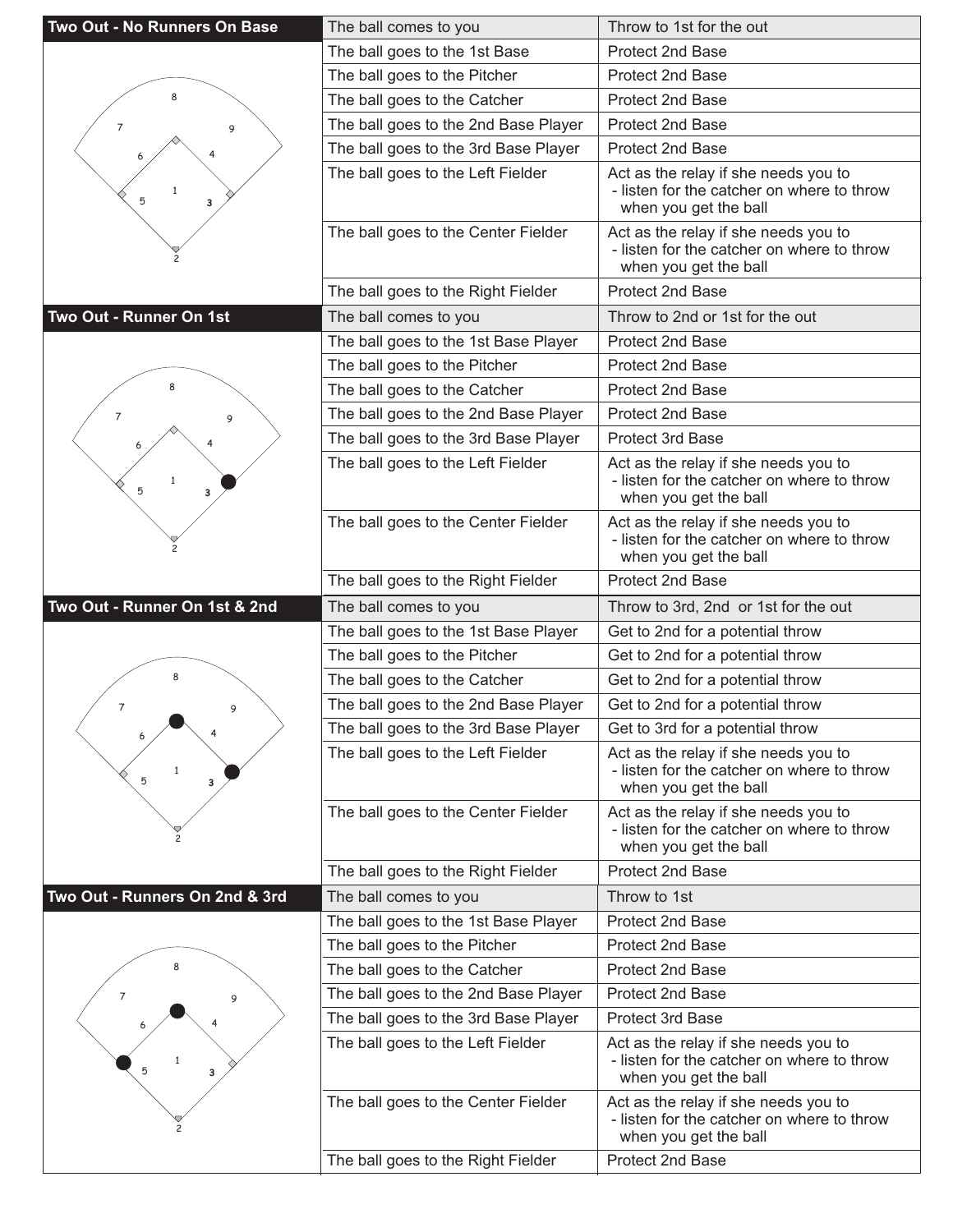| Two Out - No Runners On Base   | The ball comes to you                | Throw to 1st for the out                                                                                                        |
|--------------------------------|--------------------------------------|---------------------------------------------------------------------------------------------------------------------------------|
|                                | The ball goes to the 1st Base        | Protect 2nd Base                                                                                                                |
|                                | The ball goes to the Pitcher         | <b>Protect 2nd Base</b>                                                                                                         |
| 8                              | The ball goes to the Catcher         | Protect 2nd Base                                                                                                                |
| 7<br>9                         | The ball goes to the 2nd Base Player | <b>Protect 2nd Base</b>                                                                                                         |
|                                | The ball goes to the 3rd Base Player | <b>Protect 2nd Base</b>                                                                                                         |
| $\mathbf{1}$<br>5<br>з         | The ball goes to the Left Fielder    | Act as the relay if she needs you to<br>- listen for the catcher on where to throw<br>when you get the ball                     |
|                                | The ball goes to the Center Fielder  | Act as the relay if she needs you to<br>- listen for the catcher on where to throw<br>when you get the ball                     |
|                                | The ball goes to the Right Fielder   | Protect 2nd Base                                                                                                                |
| Two Out - Runner On 1st        | The ball comes to you                | Throw to 2nd or 1st for the out                                                                                                 |
|                                | The ball goes to the 1st Base Player | Protect 2nd Base                                                                                                                |
|                                | The ball goes to the Pitcher         | <b>Protect 2nd Base</b>                                                                                                         |
|                                | The ball goes to the Catcher         | Protect 2nd Base                                                                                                                |
| 7<br>9                         | The ball goes to the 2nd Base Player | <b>Protect 2nd Base</b>                                                                                                         |
|                                | The ball goes to the 3rd Base Player | Protect 3rd Base                                                                                                                |
| $\mathbf{1}$<br>5<br>3         | The ball goes to the Left Fielder    | Act as the relay if she needs you to<br>- listen for the catcher on where to throw<br>when you get the ball                     |
|                                | The ball goes to the Center Fielder  | Act as the relay if she needs you to<br>- listen for the catcher on where to throw<br>when you get the ball                     |
|                                | The ball goes to the Right Fielder   | Protect 2nd Base                                                                                                                |
|                                |                                      |                                                                                                                                 |
| Two Out - Runner On 1st & 2nd  | The ball comes to you                | Throw to 3rd, 2nd or 1st for the out                                                                                            |
|                                | The ball goes to the 1st Base Player | Get to 2nd for a potential throw                                                                                                |
|                                | The ball goes to the Pitcher         | Get to 2nd for a potential throw                                                                                                |
| 8                              | The ball goes to the Catcher         | Get to 2nd for a potential throw                                                                                                |
| $\overline{7}$<br>9            | The ball goes to the 2nd Base Player | Get to 2nd for a potential throw                                                                                                |
|                                | The ball goes to the 3rd Base Player | Get to 3rd for a potential throw                                                                                                |
| $\mathbf{1}$<br>5<br>3         | The ball goes to the Left Fielder    | Act as the relay if she needs you to<br>- listen for the catcher on where to throw<br>when you get the ball                     |
|                                | The ball goes to the Center Fielder  | Act as the relay if she needs you to<br>- listen for the catcher on where to throw<br>when you get the ball                     |
|                                | The ball goes to the Right Fielder   | Protect 2nd Base                                                                                                                |
| Two Out - Runners On 2nd & 3rd | The ball comes to you                | Throw to 1st                                                                                                                    |
|                                | The ball goes to the 1st Base Player | Protect 2nd Base                                                                                                                |
|                                | The ball goes to the Pitcher         | Protect 2nd Base                                                                                                                |
| 8                              | The ball goes to the Catcher         | Protect 2nd Base                                                                                                                |
| 7<br>9                         | The ball goes to the 2nd Base Player | Protect 2nd Base                                                                                                                |
|                                | The ball goes to the 3rd Base Player | <b>Protect 3rd Base</b>                                                                                                         |
| 5<br>3                         | The ball goes to the Left Fielder    | Act as the relay if she needs you to<br>- listen for the catcher on where to throw<br>when you get the ball                     |
|                                | The ball goes to the Center Fielder  | Act as the relay if she needs you to<br>- listen for the catcher on where to throw<br>when you get the ball<br>Protect 2nd Base |